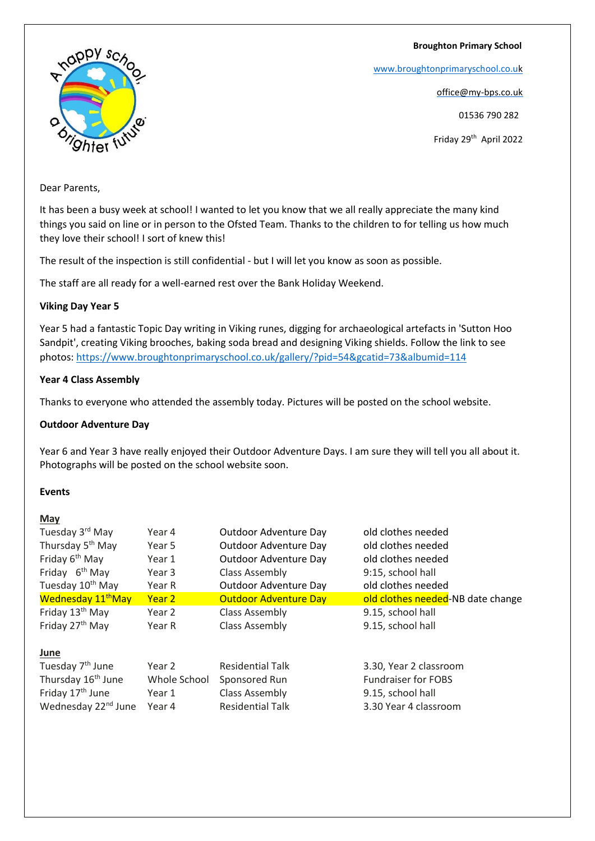### **Broughton Primary School**

[www.broughtonprimaryschool.co.u](http://www.broughtonprimaryschool.co.u/)[k](http://www.broughtonprimaryschool.co.uk/)

office@my-bps.co.uk

01536 790 282

Friday 29th April 2022

# nappy sch Shter fut

### Dear Parents,

It has been a busy week at school! I wanted to let you know that we all really appreciate the many kind things you said on line or in person to the Ofsted Team. Thanks to the children to for telling us how much they love their school! I sort of knew this!

The result of the inspection is still confidential - but I will let you know as soon as possible.

The staff are all ready for a well-earned rest over the Bank Holiday Weekend.

# **Viking Day Year 5**

Year 5 had a fantastic Topic Day writing in Viking runes, digging for archaeological artefacts in 'Sutton Hoo Sandpit', creating Viking brooches, baking soda bread and designing Viking shields. Follow the link to see photos: <https://www.broughtonprimaryschool.co.uk/gallery/?pid=54&gcatid=73&albumid=114>

# **Year 4 Class Assembly**

Thanks to everyone who attended the assembly today. Pictures will be posted on the school website.

### **Outdoor Adventure Day**

Year 6 and Year 3 have really enjoyed their Outdoor Adventure Days. I am sure they will tell you all about it. Photographs will be posted on the school website soon.

### **Events**

### **May**

| Tuesday 3 <sup>rd</sup> May     | Year 4       | Outdoor Adventure Day        | old clothes needed                |
|---------------------------------|--------------|------------------------------|-----------------------------------|
| Thursday 5 <sup>th</sup> May    | Year 5       | Outdoor Adventure Day        | old clothes needed                |
| Friday 6 <sup>th</sup> May      | Year 1       | Outdoor Adventure Day        | old clothes needed                |
| Friday 6 <sup>th</sup> May      | Year 3       | Class Assembly               | 9:15, school hall                 |
| Tuesday 10 <sup>th</sup> May    | Year R       | Outdoor Adventure Day        | old clothes needed                |
| Wednesday 11 <sup>th</sup> May  | Year 2       | <b>Outdoor Adventure Day</b> | old clothes needed-NB date change |
| Friday 13 <sup>th</sup> May     | Year 2       | Class Assembly               | 9.15, school hall                 |
| Friday 27 <sup>th</sup> May     | Year R       | <b>Class Assembly</b>        | 9.15, school hall                 |
| June                            |              |                              |                                   |
| Tuesday 7 <sup>th</sup> June    | Year 2       | <b>Residential Talk</b>      | 3.30, Year 2 classroom            |
| Thursday 16 <sup>th</sup> June  | Whole School | Sponsored Run                | <b>Fundraiser for FOBS</b>        |
| Friday 17 <sup>th</sup> June    | Year 1       | Class Assembly               | 9.15, school hall                 |
| Wednesday 22 <sup>nd</sup> June | Year 4       | <b>Residential Talk</b>      | 3.30 Year 4 classroom             |
|                                 |              |                              |                                   |